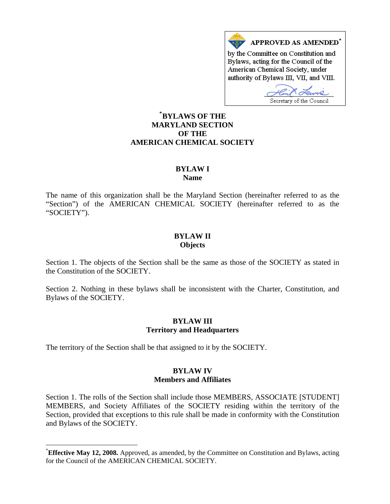

#### **[\\*](#page-0-0) BYLAWS OF THE MARYLAND SECTION OF THE AMERICAN CHEMICAL SOCIETY**

# **BYLAW I**

**Name** 

The name of this organization shall be the Maryland Section (hereinafter referred to as the "Section") of the AMERICAN CHEMICAL SOCIETY (hereinafter referred to as the "SOCIETY").

#### **BYLAW II Objects**

Section 1. The objects of the Section shall be the same as those of the SOCIETY as stated in the Constitution of the SOCIETY.

Section 2. Nothing in these bylaws shall be inconsistent with the Charter, Constitution, and Bylaws of the SOCIETY.

#### **BYLAW III Territory and Headquarters**

The territory of the Section shall be that assigned to it by the SOCIETY.

 $\overline{a}$ 

## **BYLAW IV Members and Affiliates**

Section 1. The rolls of the Section shall include those MEMBERS, ASSOCIATE [STUDENT] MEMBERS, and Society Affiliates of the SOCIETY residing within the territory of the Section, provided that exceptions to this rule shall be made in conformity with the Constitution and Bylaws of the SOCIETY.

<span id="page-0-0"></span><sup>\*</sup> **Effective May 12, 2008.** Approved, as amended, by the Committee on Constitution and Bylaws, acting for the Council of the AMERICAN CHEMICAL SOCIETY.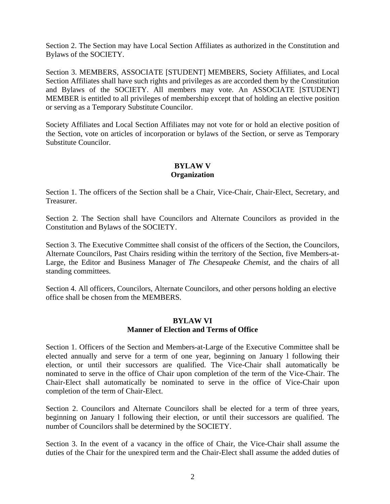Section 2. The Section may have Local Section Affiliates as authorized in the Constitution and Bylaws of the SOCIETY.

Section 3. MEMBERS, ASSOCIATE [STUDENT] MEMBERS, Society Affiliates, and Local Section Affiliates shall have such rights and privileges as are accorded them by the Constitution and Bylaws of the SOCIETY. All members may vote. An ASSOCIATE [STUDENT] MEMBER is entitled to all privileges of membership except that of holding an elective position or serving as a Temporary Substitute Councilor.

Society Affiliates and Local Section Affiliates may not vote for or hold an elective position of the Section, vote on articles of incorporation or bylaws of the Section, or serve as Temporary Substitute Councilor.

#### **BYLAW V Organization**

Section 1. The officers of the Section shall be a Chair, Vice-Chair, Chair-Elect, Secretary, and Treasurer.

Section 2. The Section shall have Councilors and Alternate Councilors as provided in the Constitution and Bylaws of the SOCIETY.

Section 3. The Executive Committee shall consist of the officers of the Section, the Councilors, Alternate Councilors, Past Chairs residing within the territory of the Section, five Members-at-Large, the Editor and Business Manager of *The Chesapeake Chemist*, and the chairs of all standing committees.

Section 4. All officers, Councilors, Alternate Councilors, and other persons holding an elective office shall be chosen from the MEMBERS.

#### **BYLAW VI Manner of Election and Terms of Office**

Section 1. Officers of the Section and Members-at-Large of the Executive Committee shall be elected annually and serve for a term of one year, beginning on January l following their election, or until their successors are qualified. The Vice-Chair shall automatically be nominated to serve in the office of Chair upon completion of the term of the Vice-Chair. The Chair-Elect shall automatically be nominated to serve in the office of Vice-Chair upon completion of the term of Chair-Elect.

Section 2. Councilors and Alternate Councilors shall be elected for a term of three years, beginning on January l following their election, or until their successors are qualified. The number of Councilors shall be determined by the SOCIETY.

Section 3. In the event of a vacancy in the office of Chair, the Vice-Chair shall assume the duties of the Chair for the unexpired term and the Chair-Elect shall assume the added duties of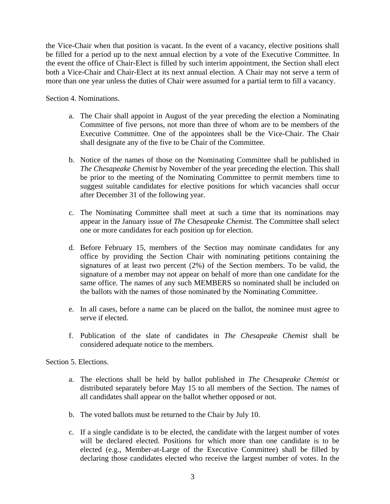the Vice-Chair when that position is vacant. In the event of a vacancy, elective positions shall be filled for a period up to the next annual election by a vote of the Executive Committee. In the event the office of Chair-Elect is filled by such interim appointment, the Section shall elect both a Vice-Chair and Chair-Elect at its next annual election. A Chair may not serve a term of more than one year unless the duties of Chair were assumed for a partial term to fill a vacancy.

Section 4. Nominations.

- a. The Chair shall appoint in August of the year preceding the election a Nominating Committee of five persons, not more than three of whom are to be members of the Executive Committee. One of the appointees shall be the Vice-Chair. The Chair shall designate any of the five to be Chair of the Committee.
- b. Notice of the names of those on the Nominating Committee shall be published in *The Chesapeake Chemist* by November of the year preceding the election. This shall be prior to the meeting of the Nominating Committee to permit members time to suggest suitable candidates for elective positions for which vacancies shall occur after December 31 of the following year.
- c. The Nominating Committee shall meet at such a time that its nominations may appear in the January issue of *The Chesapeake Chemist*. The Committee shall select one or more candidates for each position up for election.
- d. Before February 15, members of the Section may nominate candidates for any office by providing the Section Chair with nominating petitions containing the signatures of at least two percent (2%) of the Section members. To be valid, the signature of a member may not appear on behalf of more than one candidate for the same office. The names of any such MEMBERS so nominated shall be included on the ballots with the names of those nominated by the Nominating Committee.
- e. In all cases, before a name can be placed on the ballot, the nominee must agree to serve if elected.
- f. Publication of the slate of candidates in *The Chesapeake Chemist* shall be considered adequate notice to the members.

Section 5. Elections.

- a. The elections shall be held by ballot published in *The Chesapeake Chemist* or distributed separately before May 15 to all members of the Section. The names of all candidates shall appear on the ballot whether opposed or not.
- b. The voted ballots must be returned to the Chair by July 10.
- c. If a single candidate is to be elected, the candidate with the largest number of votes will be declared elected. Positions for which more than one candidate is to be elected (e.g., Member-at-Large of the Executive Committee) shall be filled by declaring those candidates elected who receive the largest number of votes. In the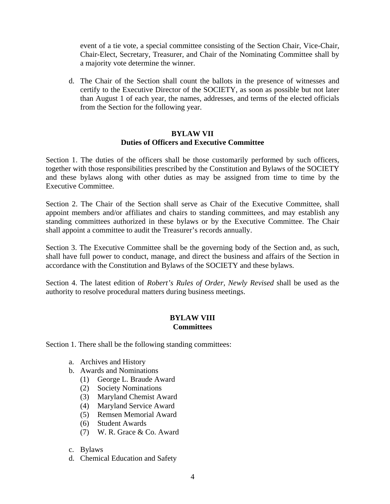event of a tie vote, a special committee consisting of the Section Chair, Vice-Chair, Chair-Elect, Secretary, Treasurer, and Chair of the Nominating Committee shall by a majority vote determine the winner.

d. The Chair of the Section shall count the ballots in the presence of witnesses and certify to the Executive Director of the SOCIETY, as soon as possible but not later than August 1 of each year, the names, addresses, and terms of the elected officials from the Section for the following year.

#### **BYLAW VII Duties of Officers and Executive Committee**

Section 1. The duties of the officers shall be those customarily performed by such officers, together with those responsibilities prescribed by the Constitution and Bylaws of the SOCIETY and these bylaws along with other duties as may be assigned from time to time by the Executive Committee.

Section 2. The Chair of the Section shall serve as Chair of the Executive Committee, shall appoint members and/or affiliates and chairs to standing committees, and may establish any standing committees authorized in these bylaws or by the Executive Committee. The Chair shall appoint a committee to audit the Treasurer's records annually.

Section 3. The Executive Committee shall be the governing body of the Section and, as such, shall have full power to conduct, manage, and direct the business and affairs of the Section in accordance with the Constitution and Bylaws of the SOCIETY and these bylaws.

Section 4. The latest edition of *Robert's Rules of Order, Newly Revised* shall be used as the authority to resolve procedural matters during business meetings.

## **BYLAW VIII Committees**

Section 1. There shall be the following standing committees:

- a. Archives and History
- b. Awards and Nominations
	- (1) George L. Braude Award
	- (2) Society Nominations
	- (3) Maryland Chemist Award
	- (4) Maryland Service Award
	- (5) Remsen Memorial Award
	- (6) Student Awards
	- (7) W. R. Grace & Co. Award
- c. Bylaws
- d. Chemical Education and Safety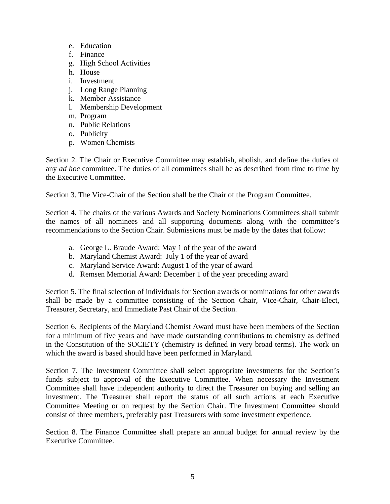- e. Education
- f. Finance
- g. High School Activities
- h. House
- i. Investment
- j. Long Range Planning
- k. Member Assistance
- l. Membership Development
- m. Program
- n. Public Relations
- o. Publicity
- p. Women Chemists

Section 2. The Chair or Executive Committee may establish, abolish, and define the duties of any *ad hoc* committee. The duties of all committees shall be as described from time to time by the Executive Committee.

Section 3. The Vice-Chair of the Section shall be the Chair of the Program Committee.

Section 4. The chairs of the various Awards and Society Nominations Committees shall submit the names of all nominees and all supporting documents along with the committee's recommendations to the Section Chair. Submissions must be made by the dates that follow:

- a. George L. Braude Award: May 1 of the year of the award
- b. Maryland Chemist Award: July 1 of the year of award
- c. Maryland Service Award: August 1 of the year of award
- d. Remsen Memorial Award: December 1 of the year preceding award

Section 5. The final selection of individuals for Section awards or nominations for other awards shall be made by a committee consisting of the Section Chair, Vice-Chair, Chair-Elect, Treasurer, Secretary, and Immediate Past Chair of the Section.

Section 6. Recipients of the Maryland Chemist Award must have been members of the Section for a minimum of five years and have made outstanding contributions to chemistry as defined in the Constitution of the SOCIETY (chemistry is defined in very broad terms). The work on which the award is based should have been performed in Maryland.

Section 7. The Investment Committee shall select appropriate investments for the Section's funds subject to approval of the Executive Committee. When necessary the Investment Committee shall have independent authority to direct the Treasurer on buying and selling an investment. The Treasurer shall report the status of all such actions at each Executive Committee Meeting or on request by the Section Chair. The Investment Committee should consist of three members, preferably past Treasurers with some investment experience.

Section 8. The Finance Committee shall prepare an annual budget for annual review by the Executive Committee.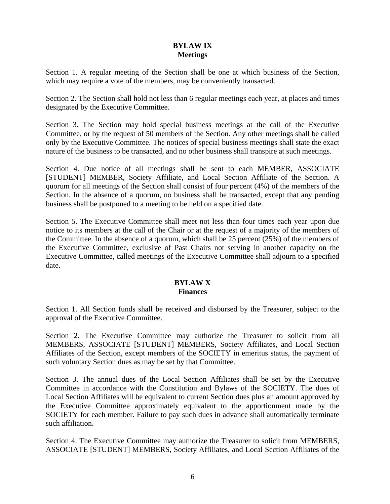## **BYLAW IX Meetings**

Section 1. A regular meeting of the Section shall be one at which business of the Section, which may require a vote of the members, may be conveniently transacted.

Section 2. The Section shall hold not less than 6 regular meetings each year, at places and times designated by the Executive Committee.

Section 3. The Section may hold special business meetings at the call of the Executive Committee, or by the request of 50 members of the Section. Any other meetings shall be called only by the Executive Committee. The notices of special business meetings shall state the exact nature of the business to be transacted, and no other business shall transpire at such meetings.

Section 4. Due notice of all meetings shall be sent to each MEMBER, ASSOCIATE [STUDENT] MEMBER, Society Affiliate, and Local Section Affiliate of the Section. A quorum for all meetings of the Section shall consist of four percent (4%) of the members of the Section. In the absence of a quorum, no business shall be transacted, except that any pending business shall be postponed to a meeting to be held on a specified date.

Section 5. The Executive Committee shall meet not less than four times each year upon due notice to its members at the call of the Chair or at the request of a majority of the members of the Committee. In the absence of a quorum, which shall be 25 percent (25%) of the members of the Executive Committee, exclusive of Past Chairs not serving in another capacity on the Executive Committee, called meetings of the Executive Committee shall adjourn to a specified date.

#### **BYLAW X Finances**

Section 1. All Section funds shall be received and disbursed by the Treasurer, subject to the approval of the Executive Committee.

Section 2. The Executive Committee may authorize the Treasurer to solicit from all MEMBERS, ASSOCIATE [STUDENT] MEMBERS, Society Affiliates, and Local Section Affiliates of the Section, except members of the SOCIETY in emeritus status, the payment of such voluntary Section dues as may be set by that Committee.

Section 3. The annual dues of the Local Section Affiliates shall be set by the Executive Committee in accordance with the Constitution and Bylaws of the SOCIETY. The dues of Local Section Affiliates will be equivalent to current Section dues plus an amount approved by the Executive Committee approximately equivalent to the apportionment made by the SOCIETY for each member. Failure to pay such dues in advance shall automatically terminate such affiliation.

Section 4. The Executive Committee may authorize the Treasurer to solicit from MEMBERS, ASSOCIATE [STUDENT] MEMBERS, Society Affiliates, and Local Section Affiliates of the